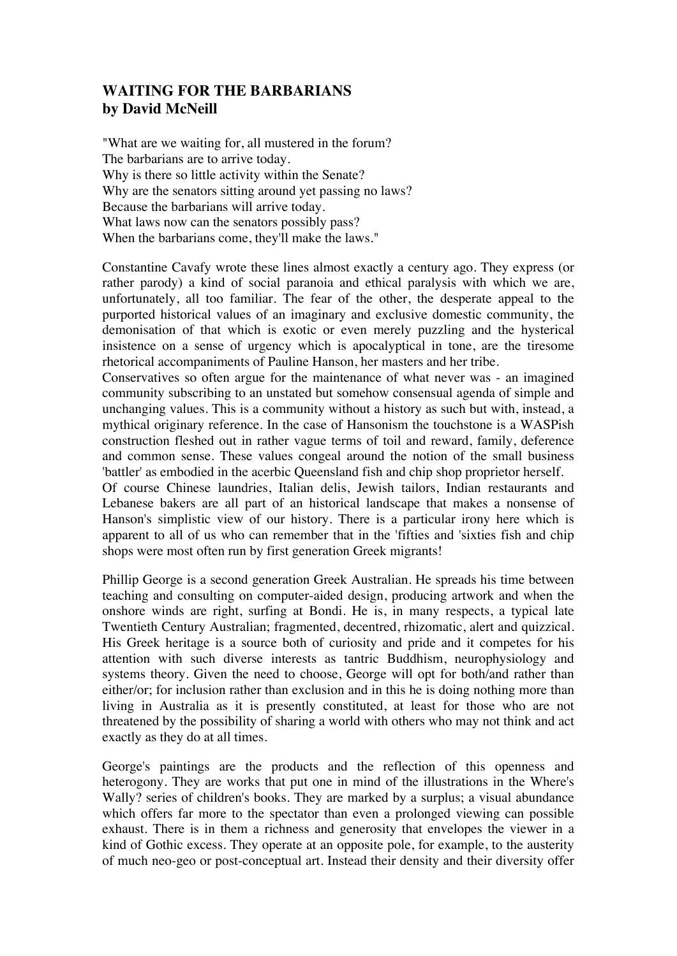## **WAITING FOR THE BARBARIANS by David McNeill**

"What are we waiting for, all mustered in the forum? The barbarians are to arrive today. Why is there so little activity within the Senate? Why are the senators sitting around yet passing no laws? Because the barbarians will arrive today. What laws now can the senators possibly pass? When the barbarians come, they'll make the laws."

Constantine Cavafy wrote these lines almost exactly a century ago. They express (or rather parody) a kind of social paranoia and ethical paralysis with which we are, unfortunately, all too familiar. The fear of the other, the desperate appeal to the purported historical values of an imaginary and exclusive domestic community, the demonisation of that which is exotic or even merely puzzling and the hysterical insistence on a sense of urgency which is apocalyptical in tone, are the tiresome rhetorical accompaniments of Pauline Hanson, her masters and her tribe.

Conservatives so often argue for the maintenance of what never was - an imagined community subscribing to an unstated but somehow consensual agenda of simple and unchanging values. This is a community without a history as such but with, instead, a mythical originary reference. In the case of Hansonism the touchstone is a WASPish construction fleshed out in rather vague terms of toil and reward, family, deference and common sense. These values congeal around the notion of the small business 'battler' as embodied in the acerbic Queensland fish and chip shop proprietor herself.

Of course Chinese laundries, Italian delis, Jewish tailors, Indian restaurants and Lebanese bakers are all part of an historical landscape that makes a nonsense of Hanson's simplistic view of our history. There is a particular irony here which is apparent to all of us who can remember that in the 'fifties and 'sixties fish and chip shops were most often run by first generation Greek migrants!

Phillip George is a second generation Greek Australian. He spreads his time between teaching and consulting on computer-aided design, producing artwork and when the onshore winds are right, surfing at Bondi. He is, in many respects, a typical late Twentieth Century Australian; fragmented, decentred, rhizomatic, alert and quizzical. His Greek heritage is a source both of curiosity and pride and it competes for his attention with such diverse interests as tantric Buddhism, neurophysiology and systems theory. Given the need to choose, George will opt for both/and rather than either/or; for inclusion rather than exclusion and in this he is doing nothing more than living in Australia as it is presently constituted, at least for those who are not threatened by the possibility of sharing a world with others who may not think and act exactly as they do at all times.

George's paintings are the products and the reflection of this openness and heterogony. They are works that put one in mind of the illustrations in the Where's Wally? series of children's books. They are marked by a surplus; a visual abundance which offers far more to the spectator than even a prolonged viewing can possible exhaust. There is in them a richness and generosity that envelopes the viewer in a kind of Gothic excess. They operate at an opposite pole, for example, to the austerity of much neo-geo or post-conceptual art. Instead their density and their diversity offer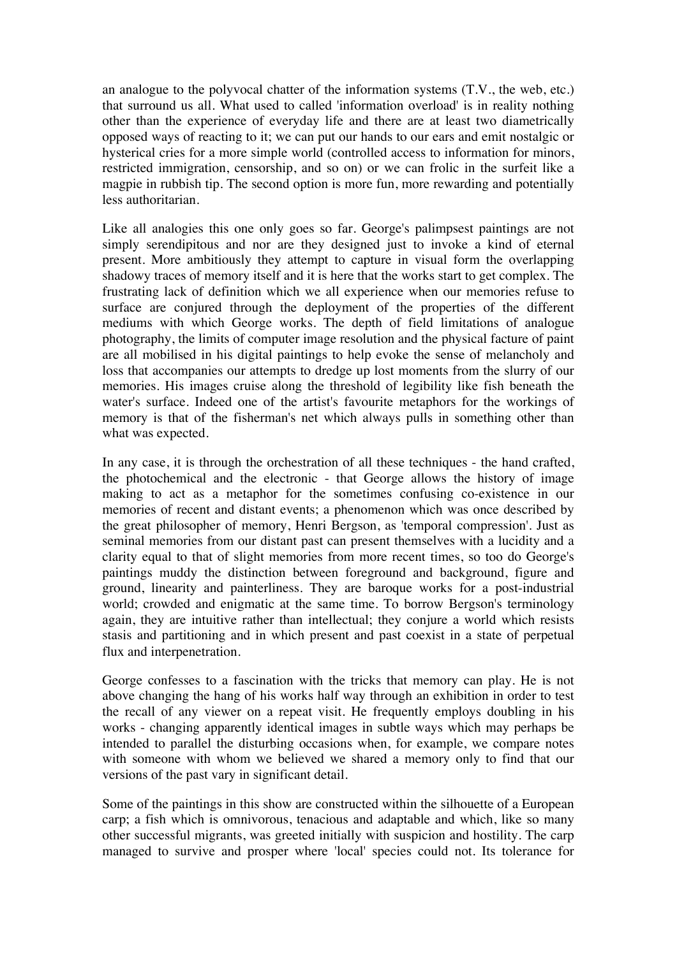an analogue to the polyvocal chatter of the information systems (T.V., the web, etc.) that surround us all. What used to called 'information overload' is in reality nothing other than the experience of everyday life and there are at least two diametrically opposed ways of reacting to it; we can put our hands to our ears and emit nostalgic or hysterical cries for a more simple world (controlled access to information for minors, restricted immigration, censorship, and so on) or we can frolic in the surfeit like a magpie in rubbish tip. The second option is more fun, more rewarding and potentially less authoritarian.

Like all analogies this one only goes so far. George's palimpsest paintings are not simply serendipitous and nor are they designed just to invoke a kind of eternal present. More ambitiously they attempt to capture in visual form the overlapping shadowy traces of memory itself and it is here that the works start to get complex. The frustrating lack of definition which we all experience when our memories refuse to surface are conjured through the deployment of the properties of the different mediums with which George works. The depth of field limitations of analogue photography, the limits of computer image resolution and the physical facture of paint are all mobilised in his digital paintings to help evoke the sense of melancholy and loss that accompanies our attempts to dredge up lost moments from the slurry of our memories. His images cruise along the threshold of legibility like fish beneath the water's surface. Indeed one of the artist's favourite metaphors for the workings of memory is that of the fisherman's net which always pulls in something other than what was expected.

In any case, it is through the orchestration of all these techniques - the hand crafted, the photochemical and the electronic - that George allows the history of image making to act as a metaphor for the sometimes confusing co-existence in our memories of recent and distant events; a phenomenon which was once described by the great philosopher of memory, Henri Bergson, as 'temporal compression'. Just as seminal memories from our distant past can present themselves with a lucidity and a clarity equal to that of slight memories from more recent times, so too do George's paintings muddy the distinction between foreground and background, figure and ground, linearity and painterliness. They are baroque works for a post-industrial world; crowded and enigmatic at the same time. To borrow Bergson's terminology again, they are intuitive rather than intellectual; they conjure a world which resists stasis and partitioning and in which present and past coexist in a state of perpetual flux and interpenetration.

George confesses to a fascination with the tricks that memory can play. He is not above changing the hang of his works half way through an exhibition in order to test the recall of any viewer on a repeat visit. He frequently employs doubling in his works - changing apparently identical images in subtle ways which may perhaps be intended to parallel the disturbing occasions when, for example, we compare notes with someone with whom we believed we shared a memory only to find that our versions of the past vary in significant detail.

Some of the paintings in this show are constructed within the silhouette of a European carp; a fish which is omnivorous, tenacious and adaptable and which, like so many other successful migrants, was greeted initially with suspicion and hostility. The carp managed to survive and prosper where 'local' species could not. Its tolerance for